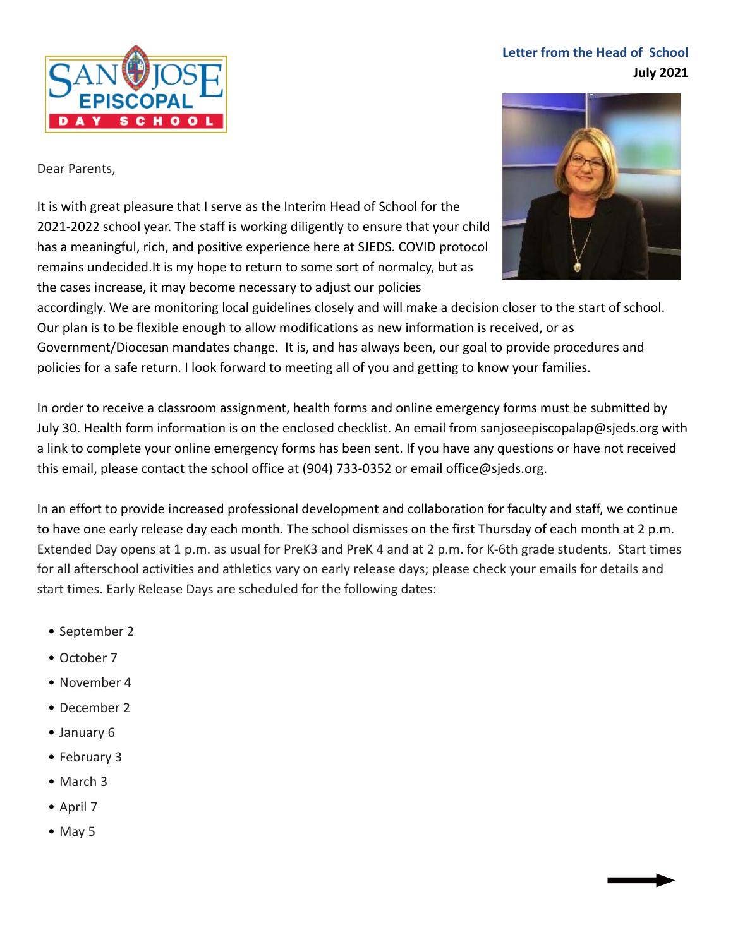



Dear Parents,

It is with great pleasure that I serve as the Interim Head of School for the 2021-2022 school year. The staff is working diligently to ensure that your child has a meaningful, rich, and positive experience here at SJEDS. COVID protocol remains undecided.It is my hope to return to some sort of normalcy, but as the cases increase, it may become necessary to adjust our policies



accordingly. We are monitoring local guidelines closely and will make a decision closer to the start of school. Our plan is to be flexible enough to allow modifications as new information is received, or as Government/Diocesan mandates change. It is, and has always been, our goal to provide procedures and policies for a safe return. I look forward to meeting all of you and getting to know your families.

In order to receive a classroom assignment, health forms and online emergency forms must be submitted by July 30. Health form information is on the enclosed checklist. An email from sanjoseepiscopalap@sjeds.org with a link to complete your online emergency forms has been sent. If you have any questions or have not received this email, please contact the school office at (904) 733-0352 or email office@sjeds.org.

In an effort to provide increased professional development and collaboration for faculty and staff, we continue to have one early release day each month. The school dismisses on the first Thursday of each month at 2 p.m. Extended Day opens at 1 p.m. as usual for PreK3 and PreK 4 and at 2 p.m. for K-6th grade students. Start times for all afterschool activities and athletics vary on early release days; please check your emails for details and start times. Early Release Days are scheduled for the following dates:

- September 2
- October 7
- November 4
- December 2
- January 6
- February 3
- March 3
- April 7
- May 5